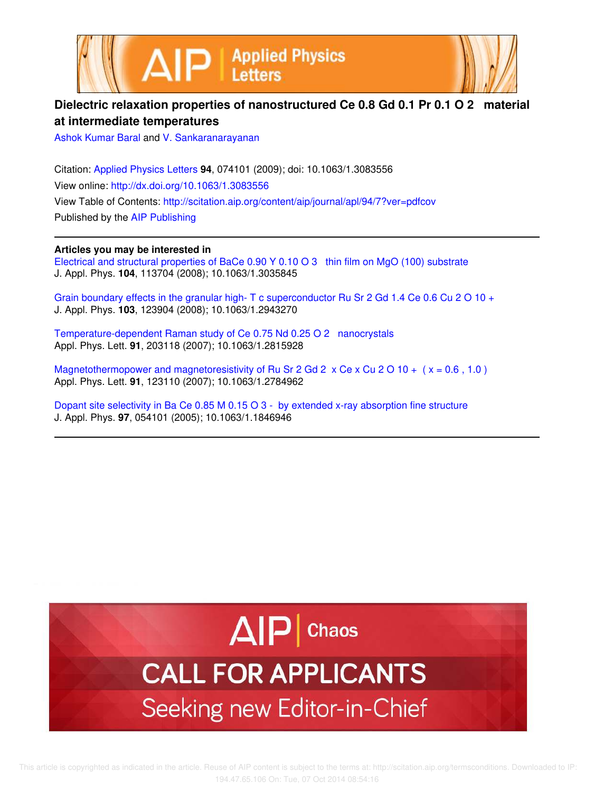



## **Dielectric relaxation properties of nanostructured Ce 0.8 Gd 0.1 Pr 0.1 O 2 material at intermediate temperatures**

Ashok Kumar Baral and V. Sankaranarayanan

Citation: Applied Physics Letters **94**, 074101 (2009); doi: 10.1063/1.3083556 View online: http://dx.doi.org/10.1063/1.3083556 View Table of Contents: http://scitation.aip.org/content/aip/journal/apl/94/7?ver=pdfcov Published by the AIP Publishing

**Articles you may be interested in**

Electrical and structural properties of BaCe 0.90 Y 0.10 O 3 thin film on MgO (100) substrate J. Appl. Phys. **104**, 113704 (2008); 10.1063/1.3035845

Grain boundary effects in the granular high- T c superconductor Ru Sr 2 Gd 1.4 Ce 0.6 Cu 2 O 10 + J. Appl. Phys. **103**, 123904 (2008); 10.1063/1.2943270

Temperature-dependent Raman study of Ce 0.75 Nd 0.25 O 2 nanocrystals Appl. Phys. Lett. **91**, 203118 (2007); 10.1063/1.2815928

Magnetothermopower and magnetoresistivity of Ru Sr 2 Gd 2  $\times$  Ce  $\times$  Cu 2 O 10 + ( $\times$  = 0.6, 1.0) Appl. Phys. Lett. **91**, 123110 (2007); 10.1063/1.2784962

Dopant site selectivity in Ba Ce 0.85 M 0.15 O 3 - by extended x-ray absorption fine structure J. Appl. Phys. **97**, 054101 (2005); 10.1063/1.1846946

## $\Delta$  $|P|$  Chaos

## **CALL FOR APPLICANTS** Seeking new Editor-in-Chief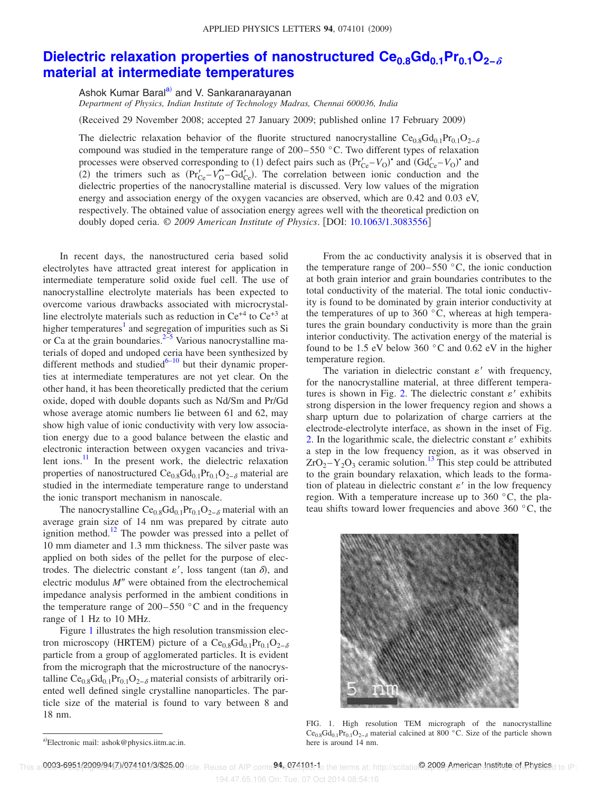## **Dielectric relaxation properties of nanostructured Ce0.8Gd0.1Pr0.1O2− material at intermediate temperatures**

Ashok Kumar Baral<sup>a)</sup> and V. Sankaranarayanan

*Department of Physics, Indian Institute of Technology Madras, Chennai 600036, India*

(Received 29 November 2008; accepted 27 January 2009; published online 17 February 2009)

The dielectric relaxation behavior of the fluorite structured nanocrystalline  $Ce_{0.8}Gd_{0.1}Pr_{0.1}O_{2-\delta}$ compound was studied in the temperature range of  $200-550$  °C. Two different types of relaxation processes were observed corresponding to (1) defect pairs such as  $(\Pr'_{Ce} - V_0)$  and  $(\text{Gd}'_{Ce} - V_0)$  and (2) the trimers such as  $(Pr'_{Ce} - V_O^{\bullet} - Gd'_{Ce})$ . The correlation between ionic conduction and the dielectric properties of the nanocrystalline material is discussed. Very low values of the migration energy and association energy of the oxygen vacancies are observed, which are 0.42 and 0.03 eV, respectively. The obtained value of association energy agrees well with the theoretical prediction on doubly doped ceria. © *2009 American Institute of Physics*. DOI: 10.1063/1.3083556

In recent days, the nanostructured ceria based solid electrolytes have attracted great interest for application in intermediate temperature solid oxide fuel cell. The use of nanocrystalline electrolyte materials has been expected to overcome various drawbacks associated with microcrystalline electrolyte materials such as reduction in  $Ce^{+4}$  to  $Ce^{+3}$  at higher temperatures<sup>1</sup> and segregation of impurities such as Si or Ca at the grain boundaries. $2\frac{3}{5}$  Various nanocrystalline materials of doped and undoped ceria have been synthesized by different methods and studied $6-10$  but their dynamic properties at intermediate temperatures are not yet clear. On the other hand, it has been theoretically predicted that the cerium oxide, doped with double dopants such as Nd/Sm and Pr/Gd whose average atomic numbers lie between 61 and 62, may show high value of ionic conductivity with very low association energy due to a good balance between the elastic and electronic interaction between oxygen vacancies and trivalent ions. $\frac{11}{1}$  In the present work, the dielectric relaxation properties of nanostructured  $Ce<sub>0.8</sub>Gd<sub>0.1</sub>Pr<sub>0.1</sub>O<sub>2-δ</sub>$  material are studied in the intermediate temperature range to understand the ionic transport mechanism in nanoscale.

The nanocrystalline  $Ce<sub>0.8</sub>Gd<sub>0.1</sub>Pr<sub>0.1</sub>O<sub>2−δ</sub>$  material with an average grain size of 14 nm was prepared by citrate auto ignition method.<sup>12</sup> The powder was pressed into a pellet of 10 mm diameter and 1.3 mm thickness. The silver paste was applied on both sides of the pellet for the purpose of electrodes. The dielectric constant  $\varepsilon'$ , loss tangent (tan  $\delta$ ), and electric modulus M" were obtained from the electrochemical impedance analysis performed in the ambient conditions in the temperature range of  $200-550$  °C and in the frequency range of 1 Hz to 10 MHz.

Figure 1 illustrates the high resolution transmission electron microscopy (HRTEM) picture of a  $\text{Ce}_{0.8}\text{Gd}_{0.1}\text{Pr}_{0.1}\text{O}_{2-\delta}$ particle from a group of agglomerated particles. It is evident from the micrograph that the microstructure of the nanocrystalline Ce<sub>0.8</sub>Gd<sub>0.1</sub>Pr<sub>0.1</sub>O<sub>2− $\delta$ </sub> material consists of arbitrarily oriented well defined single crystalline nanoparticles. The particle size of the material is found to vary between 8 and 18 nm.

From the ac conductivity analysis it is observed that in the temperature range of  $200-550$  °C, the ionic conduction at both grain interior and grain boundaries contributes to the total conductivity of the material. The total ionic conductivity is found to be dominated by grain interior conductivity at the temperatures of up to 360 $\degree$ C, whereas at high temperatures the grain boundary conductivity is more than the grain interior conductivity. The activation energy of the material is found to be 1.5 eV below 360 °C and 0.62 eV in the higher temperature region.

The variation in dielectric constant  $\varepsilon'$  with frequency, for the nanocrystalline material, at three different temperatures is shown in Fig. 2. The dielectric constant  $\varepsilon'$  exhibits strong dispersion in the lower frequency region and shows a sharp upturn due to polarization of charge carriers at the electrode-electrolyte interface, as shown in the inset of Fig. 2. In the logarithmic scale, the dielectric constant  $\varepsilon'$  exhibits a step in the low frequency region, as it was observed in  $ZrO<sub>2</sub> - Y<sub>2</sub>O<sub>3</sub>$  ceramic solution.<sup>13</sup> This step could be attributed to the grain boundary relaxation, which leads to the formation of plateau in dielectric constant  $\varepsilon'$  in the low frequency region. With a temperature increase up to 360 °C, the plateau shifts toward lower frequencies and above 360 °C, the



FIG. 1. High resolution TEM micrograph of the nanocrystalline  $Ce<sub>0.8</sub>Gd<sub>0.1</sub>Pr<sub>0.1</sub>O<sub>2−δ</sub>$  material calcined at 800 °C. Size of the particle shown here is around 14 nm.

a)Electronic mail: ashok@physics.iitm.ac.in.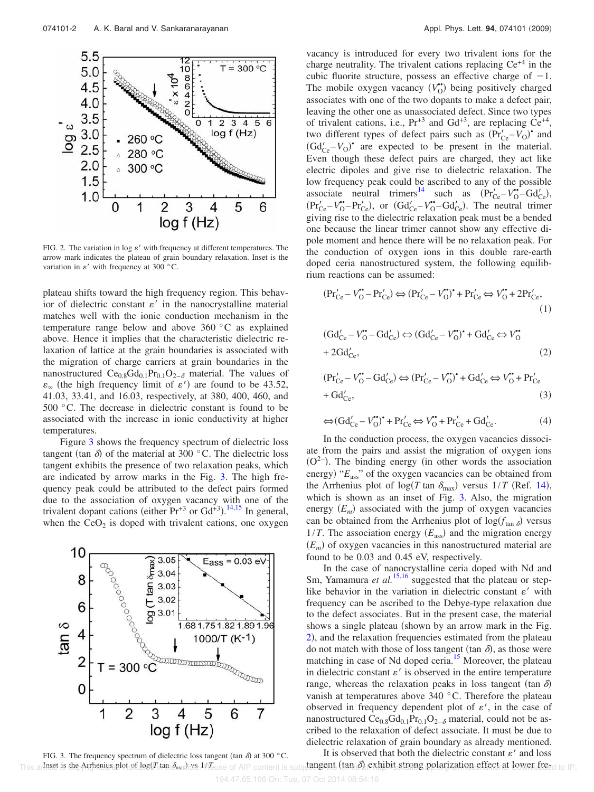

FIG. 2. The variation in  $\log e'$  with frequency at different temperatures. The arrow mark indicates the plateau of grain boundary relaxation. Inset is the variation in  $\varepsilon'$  with frequency at 300 °C.

plateau shifts toward the high frequency region. This behavior of dielectric constant  $\varepsilon'$  in the nanocrystalline material matches well with the ionic conduction mechanism in the temperature range below and above 360 °C as explained above. Hence it implies that the characteristic dielectric relaxation of lattice at the grain boundaries is associated with the migration of charge carriers at grain boundaries in the nanostructured Ce<sub>0.8</sub>Gd<sub>0.1</sub>Pr<sub>0.1</sub>O<sub>2− $\delta$ </sub> material. The values of  $\varepsilon_{\infty}$  (the high frequency limit of  $\varepsilon'$ ) are found to be 43.52, 41.03, 33.41, and 16.03, respectively, at 380, 400, 460, and 500 °C. The decrease in dielectric constant is found to be associated with the increase in ionic conductivity at higher temperatures.

Figure 3 shows the frequency spectrum of dielectric loss tangent (tan  $\delta$ ) of the material at 300 °C. The dielectric loss tangent exhibits the presence of two relaxation peaks, which are indicated by arrow marks in the Fig. 3. The high frequency peak could be attributed to the defect pairs formed due to the association of oxygen vacancy with one of the trivalent dopant cations (either  $Pr^{+3}$  or  $Gd^{+3}$ ).<sup>14,15</sup> In general, when the  $CeO<sub>2</sub>$  is doped with trivalent cations, one oxygen



Appl. Phys. Lett. 94, 074101 (2009)

vacancy is introduced for every two trivalent ions for the charge neutrality. The trivalent cations replacing  $Ce^{+4}$  in the cubic fluorite structure, possess an effective charge of  $-1$ . The mobile oxygen vacancy  $(V_0^{\bullet})$  being positively charged associates with one of the two dopants to make a defect pair, leaving the other one as unassociated defect. Since two types of trivalent cations, i.e.,  $Pr^{+3}$  and  $Gd^{+3}$ , are replacing  $Ce^{+4}$ , two different types of defect pairs such as  $(\Pr'_{\text{Ce}} - V_0)$ <sup>•</sup> and  $(\text{Gd}'_{\text{Ce}} - V_0)$ <sup>\*</sup> are expected to be present in the material. Even though these defect pairs are charged, they act like electric dipoles and give rise to dielectric relaxation. The low frequency peak could be ascribed to any of the possible associate neutral trimers<sup>14</sup> such as  $(\text{Pr}'_{\text{Ce}} - \text{V}^{\bullet} - \text{Gd}'_{\text{Ce}})$ ,  $(\text{Pr}_{\text{Ce}}^{\prime} - V_{\text{O}}^{\bullet} - \text{Pr}_{\text{Ce}}^{\prime})$ , or  $(\text{Gd}_{\text{Ce}}^{\prime} - V_{\text{O}}^{\bullet} - \text{Gd}_{\text{Ce}}^{\prime})$ . The neutral trimer giving rise to the dielectric relaxation peak must be a bended one because the linear trimer cannot show any effective dipole moment and hence there will be no relaxation peak. For the conduction of oxygen ions in this double rare-earth doped ceria nanostructured system, the following equilibrium reactions can be assumed:

$$
(\text{Pr}'_{\text{Ce}} - V''_{\text{O}} - \text{Pr}'_{\text{Ce}}) \Leftrightarrow (\text{Pr}'_{\text{Ce}} - V''_{\text{O}})^{*} + \text{Pr}'_{\text{Ce}} \Leftrightarrow V''_{\text{O}} + 2\text{Pr}'_{\text{Ce}}\tag{1}
$$

$$
(Gd'_{Ce} - V''_O - Gd'_{Ce}) \Leftrightarrow (Gd'_{Ce} - V''_O)^* + Gd'_{Ce} \Leftrightarrow V''_O
$$
  
+ 2Gd'\_{Ce}, (2)

$$
(\text{Pr}'_{\text{Ce}} - V''_{\text{O}} - \text{Gd}'_{\text{Ce}}) \Longleftrightarrow (\text{Pr}'_{\text{Ce}} - V''_{\text{O}})^{\bullet} + \text{Gd}'_{\text{Ce}} \Longleftrightarrow V''_{\text{O}} + \text{Pr}'_{\text{Ce}} + \text{Gd}'_{\text{Ce}},
$$
\n(3)

$$
\Leftrightarrow (\mathrm{Gd}'_{\mathrm{Ce}} - V_{\mathrm{O}}^{\bullet})^{\bullet} + \mathrm{Pr}'_{\mathrm{Ce}} \Leftrightarrow V_{\mathrm{O}}^{\bullet\bullet} + \mathrm{Pr}'_{\mathrm{Ce}} + \mathrm{Gd}'_{\mathrm{Ce}}.\tag{4}
$$

In the conduction process, the oxygen vacancies dissociate from the pairs and assist the migration of oxygen ions  $(O<sup>2</sup>)$ . The binding energy (in other words the association energy) " $E_{\text{ass}}$ " of the oxygen vacancies can be obtained from the Arrhenius plot of  $\log(T \tan \delta_{\text{max}})$  versus  $1/T$  (Ref. 14), which is shown as an inset of Fig. 3. Also, the migration energy  $(E_m)$  associated with the jump of oxygen vacancies can be obtained from the Arrhenius plot of  $log(f<sub>tan</sub> \delta)$  versus  $1/T$ . The association energy  $(E_{\text{ass}})$  and the migration energy  $(E_m)$  of oxygen vacancies in this nanostructured material are found to be 0.03 and 0.45 eV, respectively.

In the case of nanocrystalline ceria doped with Nd and Sm, Yamamura *et al.*<sup>15,16</sup> suggested that the plateau or steplike behavior in the variation in dielectric constant  $\varepsilon'$  with frequency can be ascribed to the Debye-type relaxation due to the defect associates. But in the present case, the material shows a single plateau (shown by an arrow mark in the Fig. 2), and the relaxation frequencies estimated from the plateau do not match with those of loss tangent (tan  $\delta$ ), as those were matching in case of Nd doped ceria.<sup>15</sup> Moreover, the plateau in dielectric constant  $\varepsilon'$  is observed in the entire temperature range, whereas the relaxation peaks in loss tangent (tan  $\delta$ ) vanish at temperatures above 340 °C. Therefore the plateau observed in frequency dependent plot of  $\varepsilon'$ , in the case of nanostructured Ce<sub>0.8</sub>Gd<sub>0.1</sub>Pr<sub>0.1</sub>O<sub>2− $\delta$ </sub> material, could not be ascribed to the relaxation of defect associate. It must be due to dielectric relaxation of grain boundary as already mentioned.

It is observed that both the dielectric constant  $\varepsilon'$  and loss This armset is the Arthenius plot of log(Titan  $\delta_{\text{max}}$ ) or 1/Euse of AIP content is subjetingent (tan  $\delta_{\text{l}}$ ) exhibit strong polarization effect at lower freed to IP: